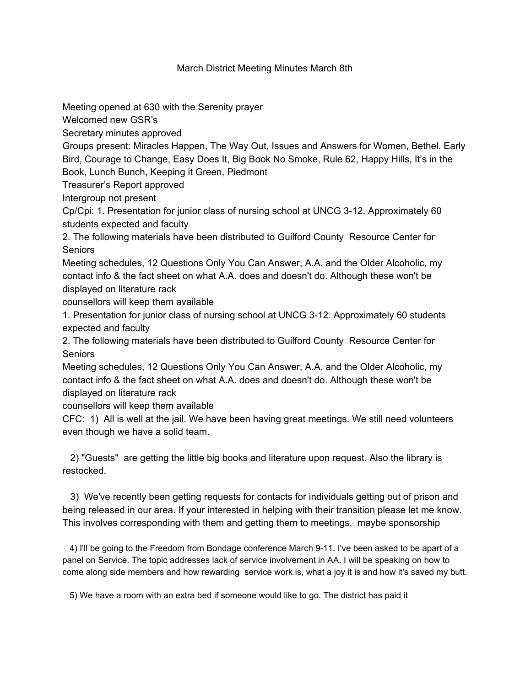## March District Meeting Minutes March 8th

Meeting opened at 630 with the Serenity prayer

Welcomed new GSR's

Secretary minutes approved

Groups present: Miracles Happen, The Way Out, Issues and Answers for Women, Bethel. Early Bird, Courage to Change, Easy Does It, Big Book No Smoke, Rule 62, Happy Hills, It's in the Book, Lunch Bunch, Keeping it Green, Piedmont

Treasurer's Report approved

Intergroup not present

Cp/Cpi: 1. Presentation for junior class of nursing school at UNCG 3-12. Approximately 60 students expected and faculty

2. The following materials have been distributed to Guilford County Resource Center for Seniors

Meeting schedules, 12 Questions Only You Can Answer, A.A. and the Older Alcoholic, my contact info & the fact sheet on what A.A. does and doesn't do. Although these won't be displayed on literature rack

counsellors will keep them available

1. Presentation for junior class of nursing school at UNCG 3-12. Approximately 60 students expected and faculty

2. The following materials have been distributed to Guilford County Resource Center for **Seniors** 

Meeting schedules, 12 Questions Only You Can Answer, A.A. and the Older Alcoholic, my contact info & the fact sheet on what A.A. does and doesn't do. Although these won't be displayed on literature rack

counsellors will keep them available

CFC: 1) All is well at the jail. We have been having great meetings. We still need volunteers even though we have a solid team.

2) "Guests" are getting the little big books and literature upon request. Also the library is restocked.

3) We've recently been getting requests for contacts for individuals getting out of prison and being released in our area. If your interested in helping with their transition please let me know. This involves corresponding with them and getting them to meetings, maybe sponsorship

4) I'll be going to the Freedom from Bondage conference March 9-11. I've been asked to be apart of a panel on Service. The topic addresses lack of service involvement in AA. I will be speaking on how to come along side members and how rewarding service work is, what a joy it is and how it's saved my butt.

5) We have a room with an extra bed if someone would like to go. The district has paid it